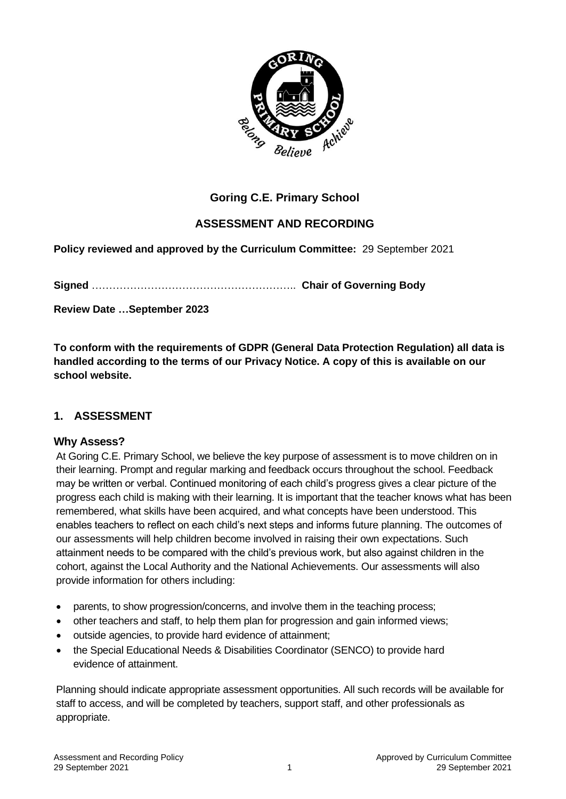

# **Goring C.E. Primary School**

## **ASSESSMENT AND RECORDING**

**Policy reviewed and approved by the Curriculum Committee:** 29 September 2021

**Signed** ………………………………………………….. **Chair of Governing Body**

**Review Date …September 2023**

**To conform with the requirements of GDPR (General Data Protection Regulation) all data is handled according to the terms of our Privacy Notice. A copy of this is available on our school website.** 

### **1. ASSESSMENT**

### **Why Assess?**

At Goring C.E. Primary School, we believe the key purpose of assessment is to move children on in their learning. Prompt and regular marking and feedback occurs throughout the school. Feedback may be written or verbal. Continued monitoring of each child's progress gives a clear picture of the progress each child is making with their learning. It is important that the teacher knows what has been remembered, what skills have been acquired, and what concepts have been understood. This enables teachers to reflect on each child's next steps and informs future planning. The outcomes of our assessments will help children become involved in raising their own expectations. Such attainment needs to be compared with the child's previous work, but also against children in the cohort, against the Local Authority and the National Achievements. Our assessments will also provide information for others including:

- parents, to show progression/concerns, and involve them in the teaching process;
- other teachers and staff, to help them plan for progression and gain informed views;
- outside agencies, to provide hard evidence of attainment;
- the Special Educational Needs & Disabilities Coordinator (SENCO) to provide hard evidence of attainment.

Planning should indicate appropriate assessment opportunities. All such records will be available for staff to access, and will be completed by teachers, support staff, and other professionals as appropriate.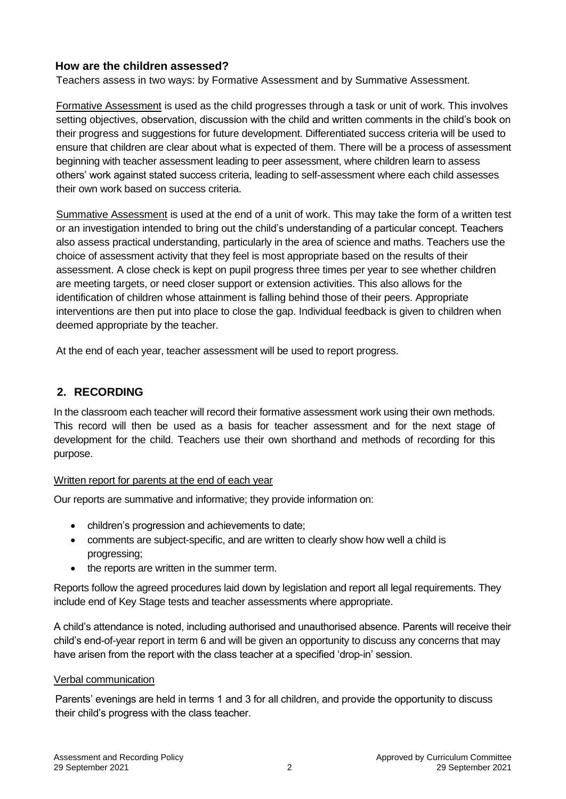### **How are the children assessed?**

Teachers assess in two ways: by Formative Assessment and by Summative Assessment.

Formative Assessment is used as the child progresses through a task or unit of work. This involves setting objectives, observation, discussion with the child and written comments in the child's book on their progress and suggestions for future development. Differentiated success criteria will be used to ensure that children are clear about what is expected of them. There will be a process of assessment beginning with teacher assessment leading to peer assessment, where children learn to assess others' work against stated success criteria, leading to self-assessment where each child assesses their own work based on success criteria.

Summative Assessment is used at the end of a unit of work. This may take the form of a written test or an investigation intended to bring out the child's understanding of a particular concept. Teachers also assess practical understanding, particularly in the area of science and maths. Teachers use the choice of assessment activity that they feel is most appropriate based on the results of their assessment. A close check is kept on pupil progress three times per year to see whether children are meeting targets, or need closer support or extension activities. This also allows for the identification of children whose attainment is falling behind those of their peers. Appropriate interventions are then put into place to close the gap. Individual feedback is given to children when deemed appropriate by the teacher.

At the end of each year, teacher assessment will be used to report progress.

## **2. RECORDING**

In the classroom each teacher will record their formative assessment work using their own methods. This record will then be used as a basis for teacher assessment and for the next stage of development for the child. Teachers use their own shorthand and methods of recording for this purpose.

### Written report for parents at the end of each year

Our reports are summative and informative; they provide information on:

- children's progression and achievements to date;
- comments are subject-specific, and are written to clearly show how well a child is progressing;
- the reports are written in the summer term.

Reports follow the agreed procedures laid down by legislation and report all legal requirements. They include end of Key Stage tests and teacher assessments where appropriate.

A child's attendance is noted, including authorised and unauthorised absence. Parents will receive their child's end-of-year report in term 6 and will be given an opportunity to discuss any concerns that may have arisen from the report with the class teacher at a specified 'drop-in' session.

### Verbal communication

Parents' evenings are held in terms 1 and 3 for all children, and provide the opportunity to discuss their child's progress with the class teacher.